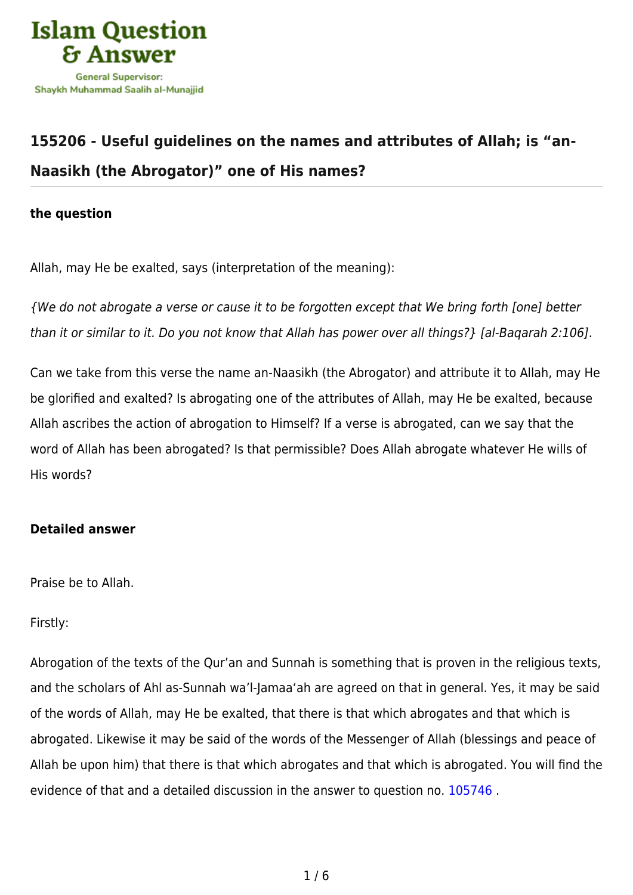

# **[155206 - Useful guidelines on the names and attributes of Allah; is "an-](https://islamqa.info/en/answers/155206/useful-guidelines-on-the-names-and-attributes-of-allah-is-an-naasikh-the-abrogator-one-of-his-names)[Naasikh \(the Abrogator\)" one of His names?](https://islamqa.info/en/answers/155206/useful-guidelines-on-the-names-and-attributes-of-allah-is-an-naasikh-the-abrogator-one-of-his-names)**

### **the question**

Allah, may He be exalted, says (interpretation of the meaning):

{We do not abrogate a verse or cause it to be forgotten except that We bring forth [one] better than it or similar to it. Do you not know that Allah has power over all things?} [al-Baqarah 2:106].

Can we take from this verse the name an-Naasikh (the Abrogator) and attribute it to Allah, may He be glorified and exalted? Is abrogating one of the attributes of Allah, may He be exalted, because Allah ascribes the action of abrogation to Himself? If a verse is abrogated, can we say that the word of Allah has been abrogated? Is that permissible? Does Allah abrogate whatever He wills of His words?

### **Detailed answer**

Praise be to Allah.

### Firstly:

Abrogation of the texts of the Qur'an and Sunnah is something that is proven in the religious texts, and the scholars of Ahl as-Sunnah wa'l-Jamaa'ah are agreed on that in general. Yes, it may be said of the words of Allah, may He be exalted, that there is that which abrogates and that which is abrogated. Likewise it may be said of the words of the Messenger of Allah (blessings and peace of Allah be upon him) that there is that which abrogates and that which is abrogated. You will find the evidence of that and a detailed discussion in the answer to question no. [105746](https://islamqa.info/en/answers/105746) .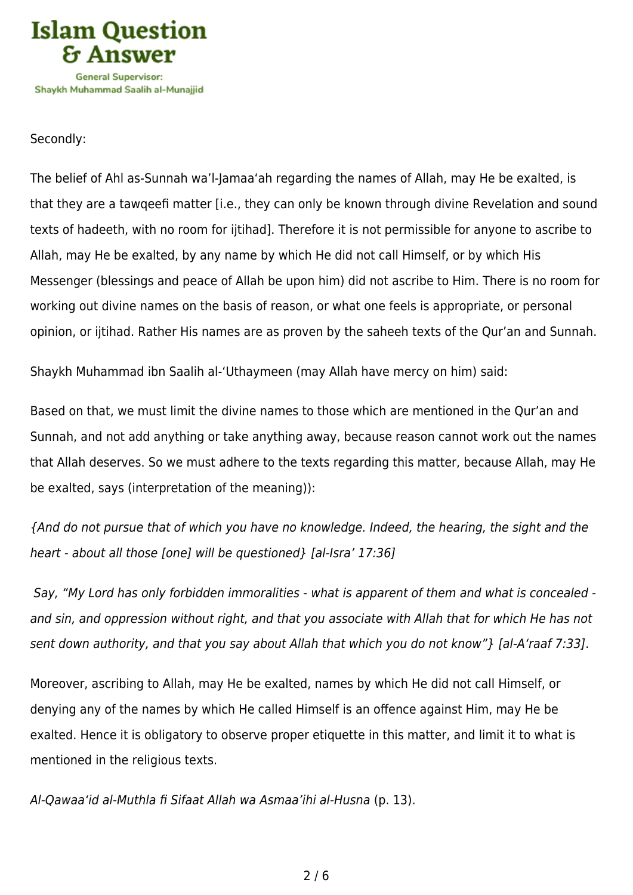

### Secondly:

The belief of Ahl as-Sunnah wa'l-Jamaa'ah regarding the names of Allah, may He be exalted, is that they are a tawqeefi matter [i.e., they can only be known through divine Revelation and sound texts of hadeeth, with no room for ijtihad]. Therefore it is not permissible for anyone to ascribe to Allah, may He be exalted, by any name by which He did not call Himself, or by which His Messenger (blessings and peace of Allah be upon him) did not ascribe to Him. There is no room for working out divine names on the basis of reason, or what one feels is appropriate, or personal opinion, or ijtihad. Rather His names are as proven by the saheeh texts of the Qur'an and Sunnah.

Shaykh Muhammad ibn Saalih al-'Uthaymeen (may Allah have mercy on him) said:

Based on that, we must limit the divine names to those which are mentioned in the Qur'an and Sunnah, and not add anything or take anything away, because reason cannot work out the names that Allah deserves. So we must adhere to the texts regarding this matter, because Allah, may He be exalted, says (interpretation of the meaning)):

{And do not pursue that of which you have no knowledge. Indeed, the hearing, the sight and the heart - about all those [one] will be questioned} [al-Isra' 17:36]

 Say, "My Lord has only forbidden immoralities - what is apparent of them and what is concealed and sin, and oppression without right, and that you associate with Allah that for which He has not sent down authority, and that you say about Allah that which you do not know"} [al-A'raaf 7:33].

Moreover, ascribing to Allah, may He be exalted, names by which He did not call Himself, or denying any of the names by which He called Himself is an offence against Him, may He be exalted. Hence it is obligatory to observe proper etiquette in this matter, and limit it to what is mentioned in the religious texts.

Al-Qawaa'id al-Muthla fi Sifaat Allah wa Asmaa'ihi al-Husna (p. 13).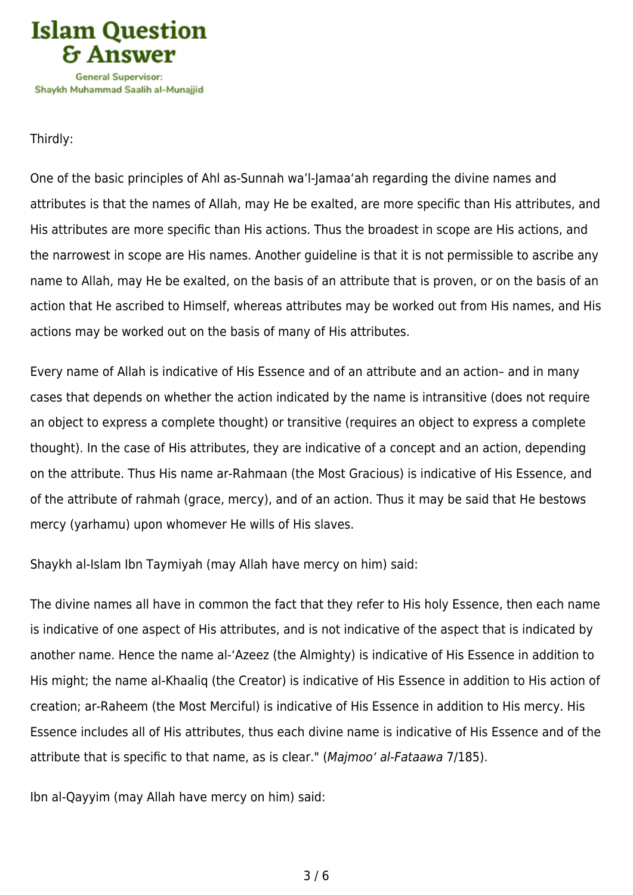

Thirdly:

One of the basic principles of Ahl as-Sunnah wa'l-Jamaa'ah regarding the divine names and attributes is that the names of Allah, may He be exalted, are more specific than His attributes, and His attributes are more specific than His actions. Thus the broadest in scope are His actions, and the narrowest in scope are His names. Another guideline is that it is not permissible to ascribe any name to Allah, may He be exalted, on the basis of an attribute that is proven, or on the basis of an action that He ascribed to Himself, whereas attributes may be worked out from His names, and His actions may be worked out on the basis of many of His attributes.

Every name of Allah is indicative of His Essence and of an attribute and an action– and in many cases that depends on whether the action indicated by the name is intransitive (does not require an object to express a complete thought) or transitive (requires an object to express a complete thought). In the case of His attributes, they are indicative of a concept and an action, depending on the attribute. Thus His name ar-Rahmaan (the Most Gracious) is indicative of His Essence, and of the attribute of rahmah (grace, mercy), and of an action. Thus it may be said that He bestows mercy (yarhamu) upon whomever He wills of His slaves.

Shaykh al-Islam Ibn Taymiyah (may Allah have mercy on him) said:

The divine names all have in common the fact that they refer to His holy Essence, then each name is indicative of one aspect of His attributes, and is not indicative of the aspect that is indicated by another name. Hence the name al-'Azeez (the Almighty) is indicative of His Essence in addition to His might; the name al-Khaaliq (the Creator) is indicative of His Essence in addition to His action of creation; ar-Raheem (the Most Merciful) is indicative of His Essence in addition to His mercy. His Essence includes all of His attributes, thus each divine name is indicative of His Essence and of the attribute that is specific to that name, as is clear." (Majmoo' al-Fataawa 7/185).

Ibn al-Qayyim (may Allah have mercy on him) said: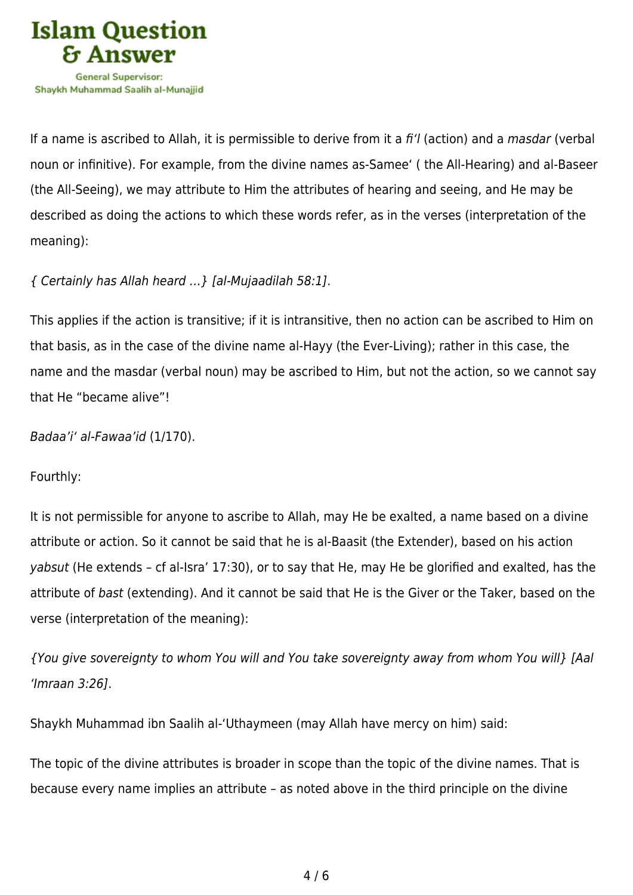

If a name is ascribed to Allah, it is permissible to derive from it a fi'l (action) and a *masdar* (verbal noun or infinitive). For example, from the divine names as-Samee' ( the All-Hearing) and al-Baseer (the All-Seeing), we may attribute to Him the attributes of hearing and seeing, and He may be described as doing the actions to which these words refer, as in the verses (interpretation of the meaning):

## { Certainly has Allah heard …} [al-Mujaadilah 58:1].

This applies if the action is transitive; if it is intransitive, then no action can be ascribed to Him on that basis, as in the case of the divine name al-Hayy (the Ever-Living); rather in this case, the name and the masdar (verbal noun) may be ascribed to Him, but not the action, so we cannot say that He "became alive"!

Badaa'i' al-Fawaa'id (1/170).

Fourthly:

It is not permissible for anyone to ascribe to Allah, may He be exalted, a name based on a divine attribute or action. So it cannot be said that he is al-Baasit (the Extender), based on his action yabsut (He extends – cf al-Isra' 17:30), or to say that He, may He be glorified and exalted, has the attribute of bast (extending). And it cannot be said that He is the Giver or the Taker, based on the verse (interpretation of the meaning):

{You give sovereignty to whom You will and You take sovereignty away from whom You will} [Aal 'Imraan 3:26].

Shaykh Muhammad ibn Saalih al-'Uthaymeen (may Allah have mercy on him) said:

The topic of the divine attributes is broader in scope than the topic of the divine names. That is because every name implies an attribute – as noted above in the third principle on the divine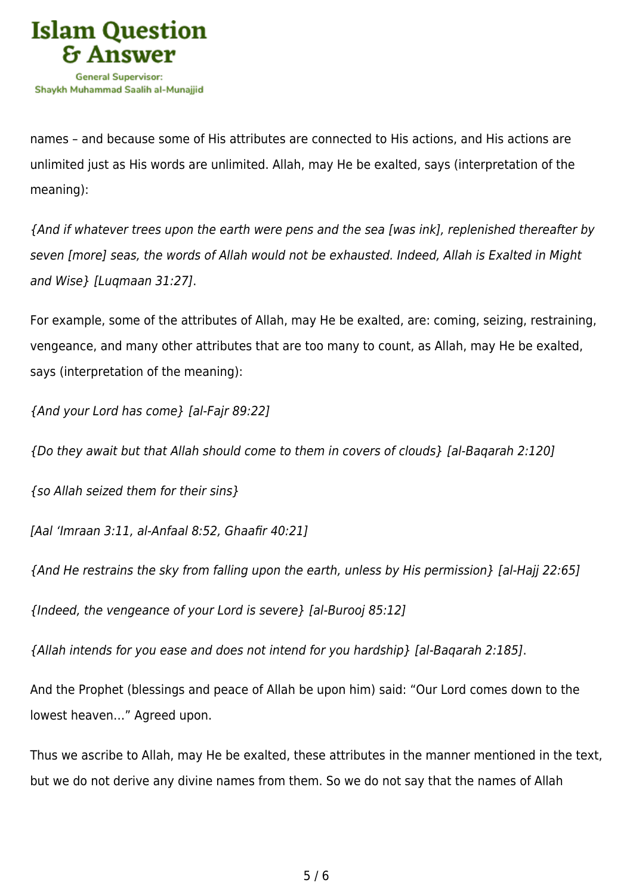

names – and because some of His attributes are connected to His actions, and His actions are unlimited just as His words are unlimited. Allah, may He be exalted, says (interpretation of the meaning):

{And if whatever trees upon the earth were pens and the sea [was ink], replenished thereafter by seven [more] seas, the words of Allah would not be exhausted. Indeed, Allah is Exalted in Might and Wise} [Luqmaan 31:27].

For example, some of the attributes of Allah, may He be exalted, are: coming, seizing, restraining, vengeance, and many other attributes that are too many to count, as Allah, may He be exalted, says (interpretation of the meaning):

{And your Lord has come} [al-Fajr 89:22]

{Do they await but that Allah should come to them in covers of clouds} [al-Baqarah 2:120]

{so Allah seized them for their sins}

[Aal 'Imraan 3:11, al-Anfaal 8:52, Ghaafir 40:21]

{And He restrains the sky from falling upon the earth, unless by His permission} [al-Hajj 22:65]

{Indeed, the vengeance of your Lord is severe} [al-Burooj 85:12]

{Allah intends for you ease and does not intend for you hardship} [al-Baqarah 2:185].

And the Prophet (blessings and peace of Allah be upon him) said: "Our Lord comes down to the lowest heaven…" Agreed upon.

Thus we ascribe to Allah, may He be exalted, these attributes in the manner mentioned in the text, but we do not derive any divine names from them. So we do not say that the names of Allah